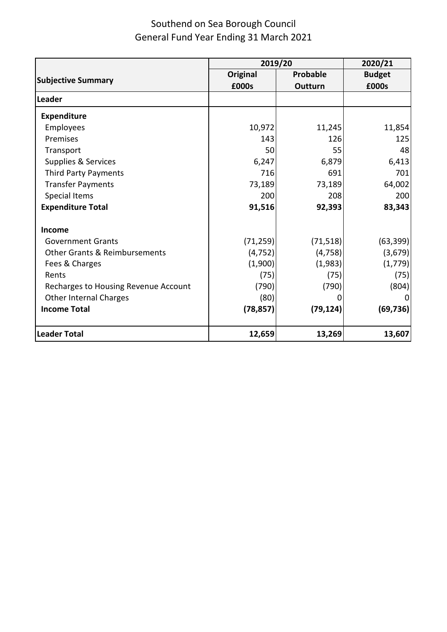|                                          | 2019/20         |                 | 2020/21       |
|------------------------------------------|-----------------|-----------------|---------------|
|                                          | <b>Original</b> | <b>Probable</b> | <b>Budget</b> |
| <b>Subjective Summary</b>                | £000s           | Outturn         | £000s         |
| Leader                                   |                 |                 |               |
| <b>Expenditure</b>                       |                 |                 |               |
| Employees                                | 10,972          | 11,245          | 11,854        |
| Premises                                 | 143             | 126             | 125           |
| Transport                                | 50              | 55              | 48            |
| Supplies & Services                      | 6,247           | 6,879           | 6,413         |
| Third Party Payments                     | 716             | 691             | 701           |
| <b>Transfer Payments</b>                 | 73,189          | 73,189          | 64,002        |
| <b>Special Items</b>                     | 200             | 208             | 200           |
| <b>Expenditure Total</b>                 | 91,516          | 92,393          | 83,343        |
| Income                                   |                 |                 |               |
| <b>Government Grants</b>                 | (71, 259)       | (71, 518)       | (63, 399)     |
| <b>Other Grants &amp; Reimbursements</b> | (4, 752)        | (4, 758)        | (3,679)       |
| Fees & Charges                           | (1,900)         | (1,983)         | (1, 779)      |
| Rents                                    | (75)            | (75)            | (75)          |
| Recharges to Housing Revenue Account     | (790)           | (790)           | (804)         |
| <b>Other Internal Charges</b>            | (80)            | O               |               |
| <b>Income Total</b>                      | (78, 857)       | (79, 124)       | (69, 736)     |
| <b>Leader Total</b>                      | 12,659          | 13,269          | 13,607        |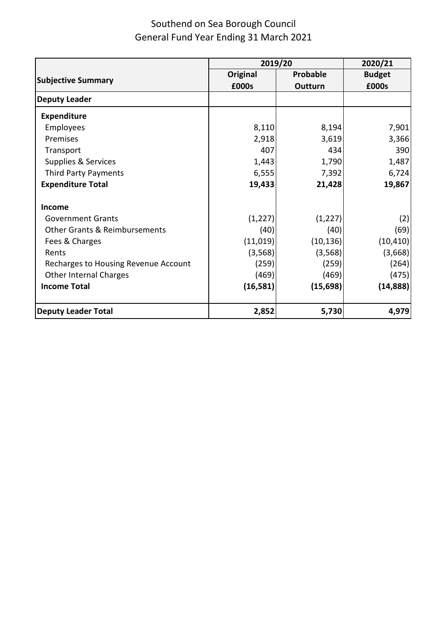|                                          | 2019/20         |                | 2020/21       |  |
|------------------------------------------|-----------------|----------------|---------------|--|
|                                          | <b>Original</b> | Probable       | <b>Budget</b> |  |
| <b>Subjective Summary</b>                | £000s           | <b>Outturn</b> | £000s         |  |
| <b>Deputy Leader</b>                     |                 |                |               |  |
| <b>Expenditure</b>                       |                 |                |               |  |
| Employees                                | 8,110           | 8,194          | 7,901         |  |
| Premises                                 | 2,918           | 3,619          | 3,366         |  |
| Transport                                | 407             | 434            | 390           |  |
| Supplies & Services                      | 1,443           | 1,790          | 1,487         |  |
| <b>Third Party Payments</b>              | 6,555           | 7,392          | 6,724         |  |
| <b>Expenditure Total</b>                 | 19,433          | 21,428         | 19,867        |  |
| Income                                   |                 |                |               |  |
| <b>Government Grants</b>                 | (1, 227)        | (1, 227)       | (2)           |  |
| <b>Other Grants &amp; Reimbursements</b> | (40)            | (40)           | (69)          |  |
| Fees & Charges                           | (11, 019)       | (10, 136)      | (10, 410)     |  |
| Rents                                    | (3, 568)        | (3, 568)       | (3,668)       |  |
| Recharges to Housing Revenue Account     | (259)           | (259)          | (264)         |  |
| <b>Other Internal Charges</b>            | (469)           | (469)          | (475)         |  |
| <b>Income Total</b>                      | (16, 581)       | (15, 698)      | (14, 888)     |  |
| <b>Deputy Leader Total</b>               | 2,852           | 5,730          | 4,979         |  |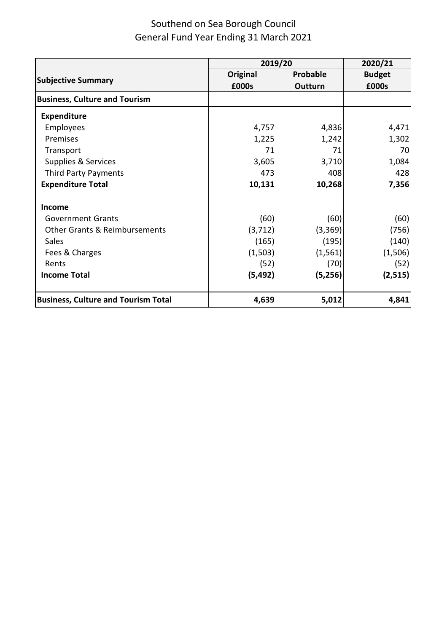|                                            | 2019/20  |          | 2020/21       |
|--------------------------------------------|----------|----------|---------------|
|                                            | Original | Probable | <b>Budget</b> |
| <b>Subjective Summary</b>                  | £000s    | Outturn  | £000s         |
| <b>Business, Culture and Tourism</b>       |          |          |               |
| <b>Expenditure</b>                         |          |          |               |
| Employees                                  | 4,757    | 4,836    | 4,471         |
| Premises                                   | 1,225    | 1,242    | 1,302         |
| Transport                                  | 71       | 71       | 70            |
| Supplies & Services                        | 3,605    | 3,710    | 1,084         |
| Third Party Payments                       | 473      | 408      | 428           |
| <b>Expenditure Total</b>                   | 10,131   | 10,268   | 7,356         |
| Income                                     |          |          |               |
| <b>Government Grants</b>                   | (60)     | (60)     | (60)          |
| <b>Other Grants &amp; Reimbursements</b>   | (3, 712) | (3,369)  | (756)         |
| Sales                                      | (165)    | (195)    | (140)         |
| Fees & Charges                             | (1,503)  | (1, 561) | (1,506)       |
| Rents                                      | (52)     | (70)     | (52)          |
| <b>Income Total</b>                        | (5, 492) | (5, 256) | (2, 515)      |
| <b>Business, Culture and Tourism Total</b> | 4,639    | 5,012    | 4,841         |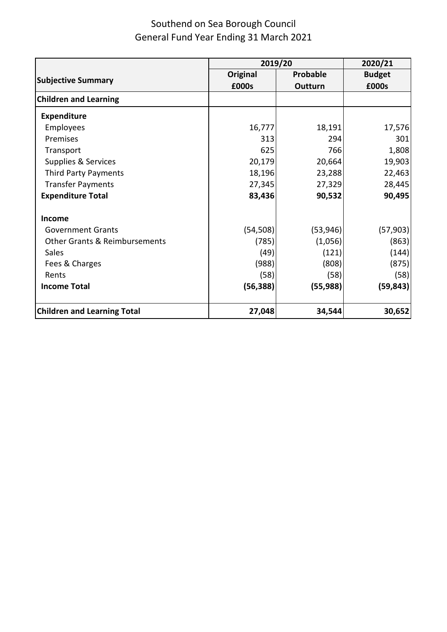| 2019/20                                  |           |           | 2020/21       |
|------------------------------------------|-----------|-----------|---------------|
|                                          | Original  | Probable  | <b>Budget</b> |
| <b>Subjective Summary</b>                | £000s     | Outturn   | £000s         |
| <b>Children and Learning</b>             |           |           |               |
| <b>Expenditure</b>                       |           |           |               |
| Employees                                | 16,777    | 18,191    | 17,576        |
| Premises                                 | 313       | 294       | 301           |
| Transport                                | 625       | 766       | 1,808         |
| Supplies & Services                      | 20,179    | 20,664    | 19,903        |
| <b>Third Party Payments</b>              | 18,196    | 23,288    | 22,463        |
| <b>Transfer Payments</b>                 | 27,345    | 27,329    | 28,445        |
| <b>Expenditure Total</b>                 | 83,436    | 90,532    | 90,495        |
| Income                                   |           |           |               |
| <b>Government Grants</b>                 | (54, 508) | (53, 946) | (57, 903)     |
| <b>Other Grants &amp; Reimbursements</b> | (785)     | (1,056)   | (863)         |
| Sales                                    | (49)      | (121)     | (144)         |
| Fees & Charges                           | (988)     | (808)     | (875)         |
| Rents                                    | (58)      | (58)      | (58)          |
| <b>Income Total</b>                      | (56, 388) | (55, 988) | (59, 843)     |
| <b>Children and Learning Total</b>       | 27,048    | 34,544    | 30,652        |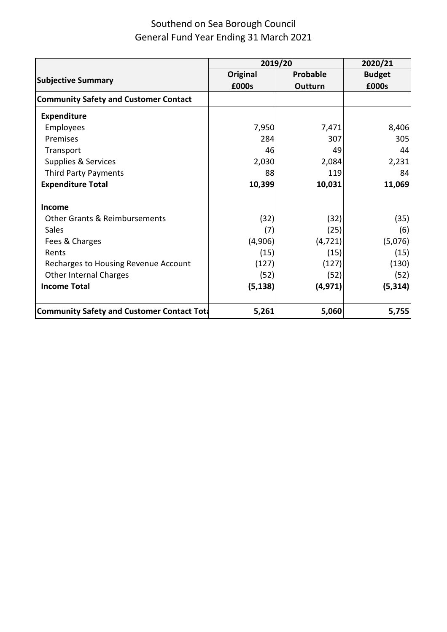|                                                    |                 | 2019/20  |               |
|----------------------------------------------------|-----------------|----------|---------------|
|                                                    | <b>Original</b> | Probable | <b>Budget</b> |
| <b>Subjective Summary</b>                          | £000s           | Outturn  | £000s         |
| <b>Community Safety and Customer Contact</b>       |                 |          |               |
| <b>Expenditure</b>                                 |                 |          |               |
| Employees                                          | 7,950           | 7,471    | 8,406         |
| Premises                                           | 284             | 307      | 305           |
| Transport                                          | 46              | 49       | 44            |
| Supplies & Services                                | 2,030           | 2,084    | 2,231         |
| <b>Third Party Payments</b>                        | 88              | 119      | 84            |
| <b>Expenditure Total</b>                           | 10,399          | 10,031   | 11,069        |
| <b>Income</b>                                      |                 |          |               |
| <b>Other Grants &amp; Reimbursements</b>           | (32)            | (32)     | (35)          |
| Sales                                              | (7)             | (25)     | (6)           |
| Fees & Charges                                     | (4,906)         | (4, 721) | (5,076)       |
| Rents                                              | (15)            | (15)     | (15)          |
| Recharges to Housing Revenue Account               | (127)           | (127)    | (130)         |
| <b>Other Internal Charges</b>                      | (52)            | (52)     | (52)          |
| <b>Income Total</b>                                | (5, 138)        | (4, 971) | (5, 314)      |
| <b>Community Safety and Customer Contact Total</b> | 5,261           | 5,060    | 5,755         |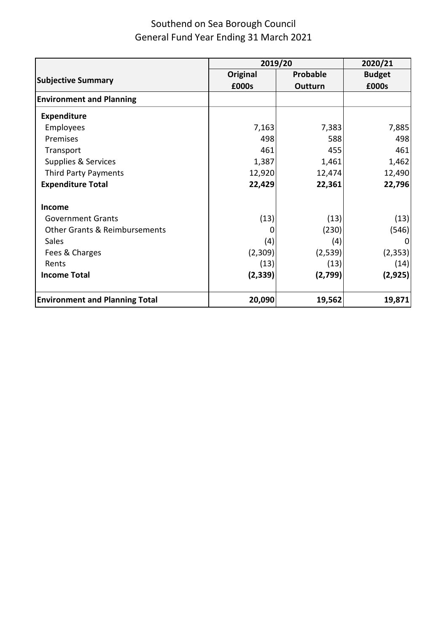|                                          |                 | 2019/20  |               |
|------------------------------------------|-----------------|----------|---------------|
|                                          | <b>Original</b> | Probable | <b>Budget</b> |
| <b>Subjective Summary</b>                | £000s           | Outturn  | £000s         |
| <b>Environment and Planning</b>          |                 |          |               |
| <b>Expenditure</b>                       |                 |          |               |
| Employees                                | 7,163           | 7,383    | 7,885         |
| Premises                                 | 498             | 588      | 498           |
| Transport                                | 461             | 455      | 461           |
| Supplies & Services                      | 1,387           | 1,461    | 1,462         |
| Third Party Payments                     | 12,920          | 12,474   | 12,490        |
| <b>Expenditure Total</b>                 | 22,429          | 22,361   | 22,796        |
| <b>Income</b>                            |                 |          |               |
| <b>Government Grants</b>                 | (13)            | (13)     | (13)          |
| <b>Other Grants &amp; Reimbursements</b> |                 | (230)    | (546)         |
| <b>Sales</b>                             | (4)             | (4)      |               |
| Fees & Charges                           | (2,309)         | (2,539)  | (2, 353)      |
| Rents                                    | (13)            | (13)     | (14)          |
| <b>Income Total</b>                      | (2, 339)        | (2,799)  | (2, 925)      |
| <b>Environment and Planning Total</b>    | 20,090          | 19,562   | 19,871        |